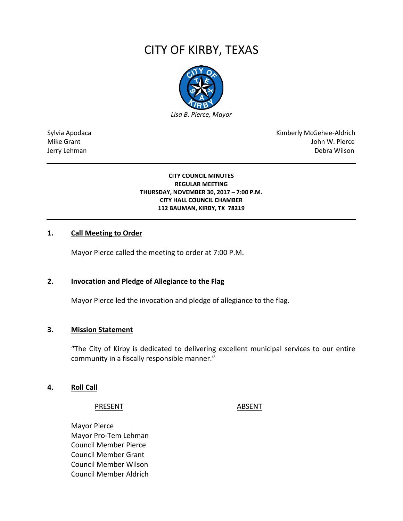# CITY OF KIRBY, TEXAS



Sylvia Apodaca National Apodaca Kimberly McGehee-Aldrich Mike Grant John W. Pierce Jerry Lehman Debra Wilson (2008) and the state of the state of the state of the state of the state of the state of the state of the state of the state of the state of the state of the state of the state of the state of the

> **CITY COUNCIL MINUTES REGULAR MEETING THURSDAY, NOVEMBER 30, 2017 – 7:00 P.M. CITY HALL COUNCIL CHAMBER 112 BAUMAN, KIRBY, TX 78219**

# **1. Call Meeting to Order**

Mayor Pierce called the meeting to order at 7:00 P.M.

# **2. Invocation and Pledge of Allegiance to the Flag**

Mayor Pierce led the invocation and pledge of allegiance to the flag.

# **3. Mission Statement**

"The City of Kirby is dedicated to delivering excellent municipal services to our entire community in a fiscally responsible manner."

# **4. Roll Call**

#### PRESENT ABSENT

Mayor Pierce Mayor Pro-Tem Lehman Council Member Pierce Council Member Grant Council Member Wilson Council Member Aldrich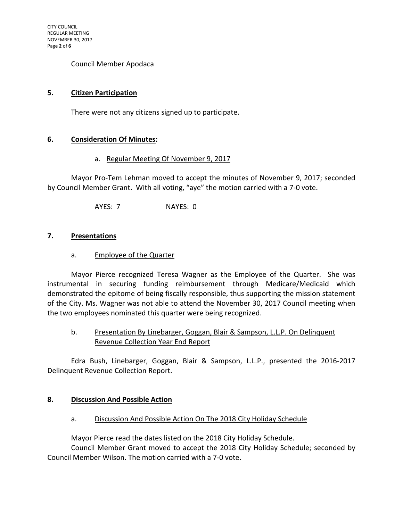Council Member Apodaca

# **5. Citizen Participation**

There were not any citizens signed up to participate.

# **6. Consideration Of Minutes:**

# a. Regular Meeting Of November 9, 2017

Mayor Pro-Tem Lehman moved to accept the minutes of November 9, 2017; seconded by Council Member Grant. With all voting, "aye" the motion carried with a 7-0 vote.

AYES: 7 NAYES: 0

# **7. Presentations**

# a. Employee of the Quarter

Mayor Pierce recognized Teresa Wagner as the Employee of the Quarter. She was instrumental in securing funding reimbursement through Medicare/Medicaid which demonstrated the epitome of being fiscally responsible, thus supporting the mission statement of the City. Ms. Wagner was not able to attend the November 30, 2017 Council meeting when the two employees nominated this quarter were being recognized.

# b. Presentation By Linebarger, Goggan, Blair & Sampson, L.L.P. On Delinquent Revenue Collection Year End Report

Edra Bush, Linebarger, Goggan, Blair & Sampson, L.L.P., presented the 2016-2017 Delinquent Revenue Collection Report.

# **8. Discussion And Possible Action**

# a. Discussion And Possible Action On The 2018 City Holiday Schedule

Mayor Pierce read the dates listed on the 2018 City Holiday Schedule.

Council Member Grant moved to accept the 2018 City Holiday Schedule; seconded by Council Member Wilson. The motion carried with a 7-0 vote.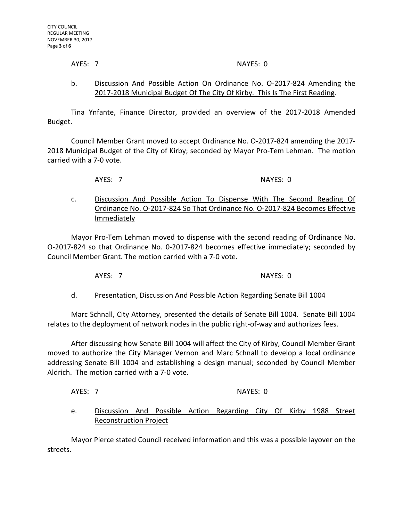#### AYES: 7 NAYES: 0

# b. Discussion And Possible Action On Ordinance No. O-2017-824 Amending the 2017-2018 Municipal Budget Of The City Of Kirby. This Is The First Reading.

Tina Ynfante, Finance Director, provided an overview of the 2017-2018 Amended Budget.

Council Member Grant moved to accept Ordinance No. O-2017-824 amending the 2017- 2018 Municipal Budget of the City of Kirby; seconded by Mayor Pro-Tem Lehman. The motion carried with a 7-0 vote.

AYES: 7 NAYES: 0

c. Discussion And Possible Action To Dispense With The Second Reading Of Ordinance No. O-2017-824 So That Ordinance No. O-2017-824 Becomes Effective **Immediately** 

Mayor Pro-Tem Lehman moved to dispense with the second reading of Ordinance No. O-2017-824 so that Ordinance No. 0-2017-824 becomes effective immediately; seconded by Council Member Grant. The motion carried with a 7-0 vote.

AYES: 7 NAYES: 0

d. Presentation, Discussion And Possible Action Regarding Senate Bill 1004

Marc Schnall, City Attorney, presented the details of Senate Bill 1004. Senate Bill 1004 relates to the deployment of network nodes in the public right-of-way and authorizes fees.

After discussing how Senate Bill 1004 will affect the City of Kirby, Council Member Grant moved to authorize the City Manager Vernon and Marc Schnall to develop a local ordinance addressing Senate Bill 1004 and establishing a design manual; seconded by Council Member Aldrich. The motion carried with a 7-0 vote.

AYES: 7 NAYES: 0

e. Discussion And Possible Action Regarding City Of Kirby 1988 Street Reconstruction Project

Mayor Pierce stated Council received information and this was a possible layover on the streets.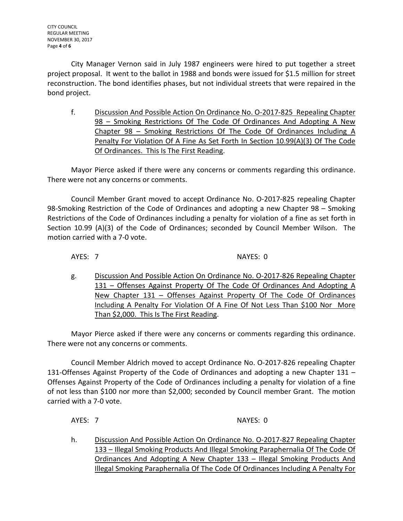City Manager Vernon said in July 1987 engineers were hired to put together a street project proposal. It went to the ballot in 1988 and bonds were issued for \$1.5 million for street reconstruction. The bond identifies phases, but not individual streets that were repaired in the bond project.

f. Discussion And Possible Action On Ordinance No. O-2017-825 Repealing Chapter 98 – Smoking Restrictions Of The Code Of Ordinances And Adopting A New Chapter 98 – Smoking Restrictions Of The Code Of Ordinances Including A Penalty For Violation Of A Fine As Set Forth In Section 10.99(A)(3) Of The Code Of Ordinances. This Is The First Reading.

Mayor Pierce asked if there were any concerns or comments regarding this ordinance. There were not any concerns or comments.

Council Member Grant moved to accept Ordinance No. O-2017-825 repealing Chapter 98-Smoking Restriction of the Code of Ordinances and adopting a new Chapter 98 – Smoking Restrictions of the Code of Ordinances including a penalty for violation of a fine as set forth in Section 10.99 (A)(3) of the Code of Ordinances; seconded by Council Member Wilson. The motion carried with a 7-0 vote.

AYES: 7 NAYES: 0

g. Discussion And Possible Action On Ordinance No. O-2017-826 Repealing Chapter 131 – Offenses Against Property Of The Code Of Ordinances And Adopting A New Chapter 131 – Offenses Against Property Of The Code Of Ordinances Including A Penalty For Violation Of A Fine Of Not Less Than \$100 Nor More Than \$2,000. This Is The First Reading.

Mayor Pierce asked if there were any concerns or comments regarding this ordinance. There were not any concerns or comments.

Council Member Aldrich moved to accept Ordinance No. O-2017-826 repealing Chapter 131-Offenses Against Property of the Code of Ordinances and adopting a new Chapter 131 – Offenses Against Property of the Code of Ordinances including a penalty for violation of a fine of not less than \$100 nor more than \$2,000; seconded by Council member Grant. The motion carried with a 7-0 vote.

AYES: 7 NAYES: 0

h. Discussion And Possible Action On Ordinance No. O-2017-827 Repealing Chapter 133 – Illegal Smoking Products And Illegal Smoking Paraphernalia Of The Code Of Ordinances And Adopting A New Chapter 133 – Illegal Smoking Products And Illegal Smoking Paraphernalia Of The Code Of Ordinances Including A Penalty For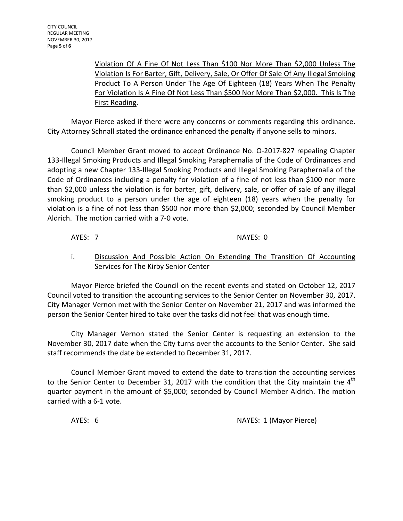Violation Of A Fine Of Not Less Than \$100 Nor More Than \$2,000 Unless The Violation Is For Barter, Gift, Delivery, Sale, Or Offer Of Sale Of Any Illegal Smoking Product To A Person Under The Age Of Eighteen (18) Years When The Penalty For Violation Is A Fine Of Not Less Than \$500 Nor More Than \$2,000. This Is The First Reading.

Mayor Pierce asked if there were any concerns or comments regarding this ordinance. City Attorney Schnall stated the ordinance enhanced the penalty if anyone sells to minors.

Council Member Grant moved to accept Ordinance No. O-2017-827 repealing Chapter 133-Illegal Smoking Products and Illegal Smoking Paraphernalia of the Code of Ordinances and adopting a new Chapter 133-Illegal Smoking Products and Illegal Smoking Paraphernalia of the Code of Ordinances including a penalty for violation of a fine of not less than \$100 nor more than \$2,000 unless the violation is for barter, gift, delivery, sale, or offer of sale of any illegal smoking product to a person under the age of eighteen (18) years when the penalty for violation is a fine of not less than \$500 nor more than \$2,000; seconded by Council Member Aldrich. The motion carried with a 7-0 vote.

# AYES: 7 NAYES: 0

# i. Discussion And Possible Action On Extending The Transition Of Accounting Services for The Kirby Senior Center

Mayor Pierce briefed the Council on the recent events and stated on October 12, 2017 Council voted to transition the accounting services to the Senior Center on November 30, 2017. City Manager Vernon met with the Senior Center on November 21, 2017 and was informed the person the Senior Center hired to take over the tasks did not feel that was enough time.

City Manager Vernon stated the Senior Center is requesting an extension to the November 30, 2017 date when the City turns over the accounts to the Senior Center. She said staff recommends the date be extended to December 31, 2017.

Council Member Grant moved to extend the date to transition the accounting services to the Senior Center to December 31, 2017 with the condition that the City maintain the  $4<sup>th</sup>$ quarter payment in the amount of \$5,000; seconded by Council Member Aldrich. The motion carried with a 6-1 vote.

AYES: 6 **NAYES: 1** (Mayor Pierce)